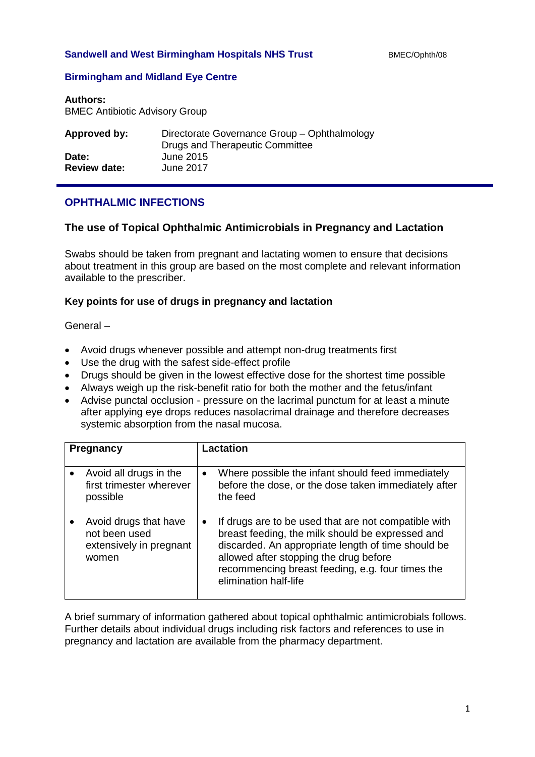### **Sandwell and West Birmingham Hospitals NHS Trust** BMEC/Ophth/08

## **Birmingham and Midland Eye Centre**

#### **Authors:**

BMEC Antibiotic Advisory Group

| Approved by:        | Directorate Governance Group - Ophthalmology<br>Drugs and Therapeutic Committee |
|---------------------|---------------------------------------------------------------------------------|
| Date:               | June 2015                                                                       |
| <b>Review date:</b> | June 2017                                                                       |

# **OPHTHALMIC INFECTIONS**

## **The use of Topical Ophthalmic Antimicrobials in Pregnancy and Lactation**

Swabs should be taken from pregnant and lactating women to ensure that decisions about treatment in this group are based on the most complete and relevant information available to the prescriber.

## **Key points for use of drugs in pregnancy and lactation**

General –

- Avoid drugs whenever possible and attempt non-drug treatments first
- Use the drug with the safest side-effect profile
- Drugs should be given in the lowest effective dose for the shortest time possible
- Always weigh up the risk-benefit ratio for both the mother and the fetus/infant
- Advise punctal occlusion pressure on the lacrimal punctum for at least a minute after applying eye drops reduces nasolacrimal drainage and therefore decreases systemic absorption from the nasal mucosa.

| Pregnancy |                                                                            | Lactation |                                                                                                                                                                                                                                                                                       |  |
|-----------|----------------------------------------------------------------------------|-----------|---------------------------------------------------------------------------------------------------------------------------------------------------------------------------------------------------------------------------------------------------------------------------------------|--|
|           | Avoid all drugs in the<br>first trimester wherever<br>possible             | $\bullet$ | Where possible the infant should feed immediately<br>before the dose, or the dose taken immediately after<br>the feed                                                                                                                                                                 |  |
|           | Avoid drugs that have<br>not been used<br>extensively in pregnant<br>women | $\bullet$ | If drugs are to be used that are not compatible with<br>breast feeding, the milk should be expressed and<br>discarded. An appropriate length of time should be<br>allowed after stopping the drug before<br>recommencing breast feeding, e.g. four times the<br>elimination half-life |  |

A brief summary of information gathered about topical ophthalmic antimicrobials follows. Further details about individual drugs including risk factors and references to use in pregnancy and lactation are available from the pharmacy department.